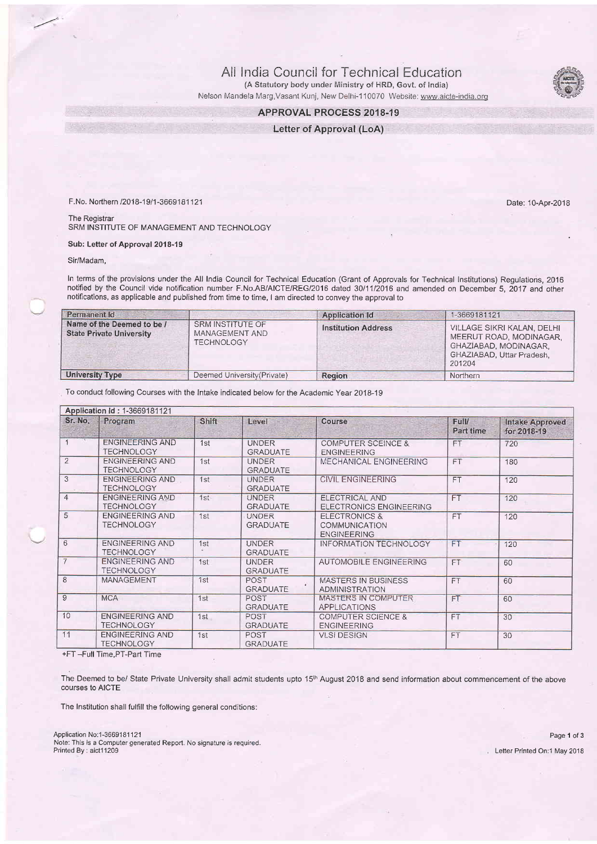All India Council for Technical Education (A Statutory body under Ministry of HRD, Govt. of India)

Nelson Mandela Marg, Vasant Kunj, New Delhi-110070 Website: www.aicte-india.org

## APPROVAL PROCESS 2018.19

Letter of Approval (LoA)

F.No. Northern 12018-1911-3669181121 Date: 10-Aor-2018

The Registrar SRM INSTITUTE OF MANAGEMENT AND TECHNOLOGY

Sub: Letter of Approval 2018-19

Sir/Madam,

 $\overline{f}$ 

In terms of the provisions under the All India Council for Technical Education (Grant of Approvals for Technical Institutions) Regulations, 2016 notified by the Council vide notification number F.No.AB/AICTE/REG/2016 dated 30/1 112016 and amended on December 5, 2017 and other notifications, as applicable and published from time to time, I am directed to convey the approval to

| Permanent Id                                                  |                                                                | <b>Application Id</b>      | 1-3669181121                                                                                                          |
|---------------------------------------------------------------|----------------------------------------------------------------|----------------------------|-----------------------------------------------------------------------------------------------------------------------|
| Name of the Deemed to be /<br><b>State Private University</b> | <b>SRM INSTITUTE OF</b><br>MANAGEMENT AND<br><b>TECHNOLOGY</b> | <b>Institution Address</b> | VILLAGE SIKRI KALAN, DELHI<br>MEERUT ROAD, MODINAGAR.<br>GHAZIABAD, MODINAGAR.<br>GHAZIABAD, Uttar Pradesh,<br>201204 |
| <b>University Type</b>                                        | Deemed University (Private)                                    | <b>Region</b>              | Northern                                                                                                              |

To conduct following Courses with the Intake indicated below for the Academic Year 2018-19

| Application Id: 1-3669181121 |                                             |       |                                 |                                                                 |                    |                                       |  |
|------------------------------|---------------------------------------------|-------|---------------------------------|-----------------------------------------------------------------|--------------------|---------------------------------------|--|
| Sr. No.                      | Program                                     | Shift | Level                           | Course                                                          | Full/<br>Part time | <b>Intake Approved</b><br>for 2018-19 |  |
|                              | <b>ENGINEERING AND</b><br><b>TECHNOLOGY</b> | 1st   | <b>UNDER</b><br>GRADUATE        | <b>COMPUTER SCEINCE &amp;</b><br><b>ENGINEERING</b>             | <b>FT</b>          | 720                                   |  |
| $\overline{2}$               | <b>ENGINEERING AND</b><br><b>TECHNOLOGY</b> | 1st   | <b>UNDER</b><br><b>GRADUATE</b> | MECHANICAL ENGINEERING                                          | <b>FT</b>          | 180                                   |  |
| 3                            | <b>ENGINEERING AND</b><br><b>TECHNOLOGY</b> | 1st   | <b>UNDER</b><br><b>GRADUATE</b> | <b>CIVIL ENGINEERING</b>                                        | <b>FT</b>          | 120                                   |  |
| $\overline{4}$               | <b>ENGINEERING AND</b><br><b>TECHNOLOGY</b> | 1st   | <b>UNDER</b><br><b>GRADUATE</b> | ELECTRICAL AND<br>ELECTRONICS ENGINEERING                       | <b>FT</b>          | 120                                   |  |
| 5                            | <b>ENGINEERING AND</b><br><b>TECHNOLOGY</b> | 1st   | <b>UNDER</b><br><b>GRADUATE</b> | <b>ELECTRONICS &amp;</b><br>COMMUNICATION<br><b>ENGINEERING</b> | <b>FT</b>          | 120                                   |  |
| 6                            | <b>ENGINEERING AND</b><br><b>TECHNOLOGY</b> | 1st   | <b>UNDER</b><br><b>GRADUATE</b> | <b>INFORMATION TECHNOLOGY</b>                                   | <b>FT</b>          | 120                                   |  |
| $\overline{7}$               | ENGINEERING AND<br><b>TECHNOLOGY</b>        | 1st   | <b>UNDER</b><br><b>GRADUATE</b> | <b>AUTOMOBILE ENGINEERING</b>                                   | <b>FT</b>          | 60                                    |  |
| 8                            | MANAGEMENT                                  | 1st   | <b>POST</b><br><b>GRADUATE</b>  | <b>MASTERS IN BUSINESS</b><br><b>ADMINISTRATION</b>             | <b>FT</b>          | 60                                    |  |
| 9                            | <b>MCA</b>                                  | 1st   | POST<br><b>GRADUATE</b>         | MASTERS IN COMPUTER<br><b>APPLICATIONS</b>                      | <b>FT</b>          | 60                                    |  |
| 10                           | <b>ENGINEERING AND</b><br><b>TECHNOLOGY</b> | 1st   | POST<br><b>GRADUATE</b>         | <b>COMPUTER SCIENCE &amp;</b><br><b>ENGINEERING</b>             | <b>FT</b>          | 30                                    |  |
| 11                           | <b>ENGINEERING AND</b><br><b>TECHNOLOGY</b> | 1st   | POST<br><b>GRADUATE</b>         | <b>VLSI DESIGN</b>                                              | FT                 | 30                                    |  |

+FT -Full Time.PT-Part Time

The Deemed to be/ State Private University shall admit students upto 15<sup>th</sup> August 2018 and send information about commencement of the above courses to AICTE

The Institution shall fulfill the following general conditions:

Application No:1-3669181121 Page 1 of 3 Note: This is a Computer generated Reporl. No signature is required.

Letter Printed On:1 May 2018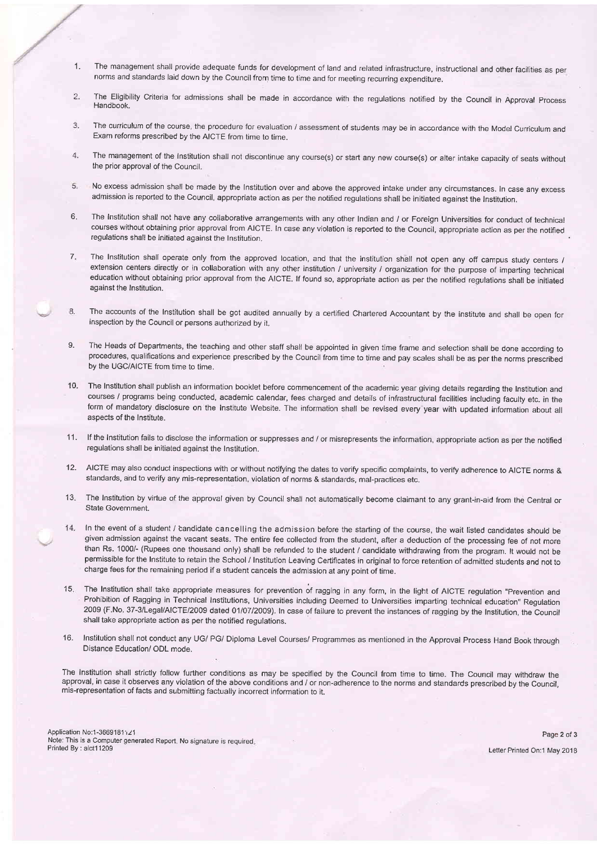- 1. The management shall provide adequate funds for development of land and related infrastructure, instructional and other facilities as oer norms and standards laid down by the Council from time to time and for meeting recurring expenditure.
- $\overline{2}$ . The Eligibility Criteria for admissions shall be made in accordance with the regulations notified by the Council in Approval process Handbook.
- The curriculum of the course, the procedure for evaluation / assessment of students may be in accordance with the Model Curriculum and  $\mathcal{R}$ Exam reforms prescribed by the AICTE from time to time.
- The management of the Institution shall not discontinue any course(s) or start any new course(s) or alter intake capacity of seats without  $\ddot{4}$ . the prior approval of the Council.
- 5. No excess admission shall be made by the Institution over and above the approved intake under any circumstances. In case any excess admission is reported to the Council, appropriate action as per the notified regulations shall be initiated against the Institution.
- $6$ The Institution shall not have any collaborative arrangements with any other Indian and / or Foreign Universities for conduct of technical courses without obtaining prior approval from AICTE. In case any violation is reported to the Council, appropriate action as per the notified regulations shall be initiated against the Institution.
- $\overline{7}$ . The Institution shall operate only from the approved location, and that the institution shall not open any off campus study centers / extension centers directly or in collaboration with any other institution / university / organization for the purpose of imparting technical education without obtaining prior approval from the AICTE. lf found so, appropriate action as per the notified regulations shall be initiated against the Institution.
- The accounts of the Institution shall be got audited annually by a certified Chartered Accountant by the institute and shall be open for 8. inspection by the Council or persons authorized by it,
- 9. The Heads of Departments, the teaching and other staff shall be appointed in given time frame and selection shall be done according to pfocedures, qualifications and experience prescribed by the Council from time to time and pay scales shall be as per the norms prescribed by the UGC/AICTE from time to time.
- 10. The Institution shall publish an information booklet before commencement of the academic year giving details regarding the Institution and courses / programs being conducted, academic calendar, fees charged and details of infrastructural facilities including faculty etc. in the form of mandatory disclosure on the Institute Website. The information shall be revised every year with updated information about all aspects of the Institute.
- lf the Institution fails to disclose the information or suppresses and / or misrepresents the information, appropriate action as per the notified regulations shall be initiated against the Institution. 11.
- 12. AICTE may also conduct inspections with or without notifying the dates to verify specific complaints, to verify adherence to AICTE norms & standards, ahd to verify any mis-representation, violation of norms & standards, mal-practices etc.
- The Institution by virtue of the approval given by Council shall not automatically become claimant to any grant-in-aid from the Central or State Government.  $13.$
- 14. In the event of a student / candidate cancelling the admission before the starting of the course, the wait listed candidates should be given admission against the vacant seats. The entire fee collected from the student, after a deduction of the processing fee of not more than Rs. 10004 (Rupees one thousand only) shall be refunded to the student / candidate withdrawing from the program. lt would not be permissible for the Institute to retain the School / Institution Leaving Certificates in original to force retention of admitted students and not to charge fees for the remaining period if a student cancels the admission at any point of time.
- 15. The Institution shall take appropriate measures for prevention of ragging in any form, in the light of AICTE regulation "Prevention and Prohibition of Ragging in Technical Institutions, Universities including Deemed to Universities imparting technical education" Regulation 2009 (F.No. 37-3/Legal/AICTE/2009 dated 01/07/2009). In case of failure to prevent the instances of ragging by the Institution, the Council shall take appropriate action as per the notified regulations.
- Institution shall not conduct any UGi PG/ Diploma Level Courses/ Programmes as mentioned in the Approval Process Hand Book through Distance Education/ ODL mode. 16.

The Institution shall strictly follow further conditions as may be specified by the Council from time to time. The Council may withdraw the approval, in case it obseryes any violation of the above conditions and / or non-adherence to the norms and standards prescribed by the Council, mis-representation of facts and submitting factually incorrect information to it.

Application No:1-3669181; 21 Note: This is a Computer generated Report. No signature is required. Printed By : aict11209